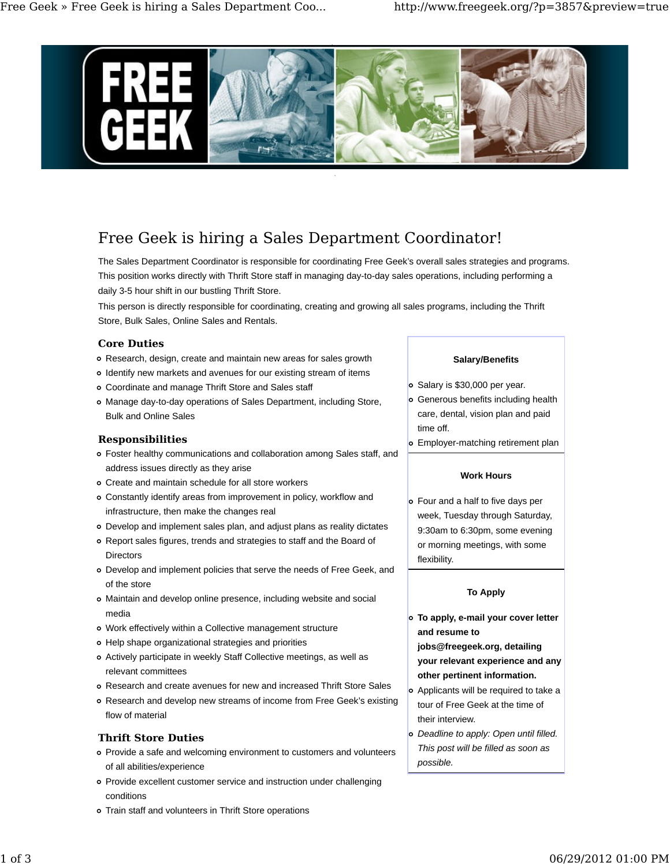

# Free Geek is hiring a Sales Department Coordinator!

The Sales Department Coordinator is responsible for coordinating Free Geek's overall sales strategies and programs. This position works directly with Thrift Store staff in managing day-to-day sales operations, including performing a daily 3-5 hour shift in our bustling Thrift Store.

This person is directly responsible for coordinating, creating and growing all sales programs, including the Thrift Store, Bulk Sales, Online Sales and Rentals.

# **Core Duties**

- Research, design, create and maintain new areas for sales growth
- Identify new markets and avenues for our existing stream of items
- Coordinate and manage Thrift Store and Sales staff
- Manage day-to-day operations of Sales Department, including Store, Bulk and Online Sales

# **Responsibilities**

- Foster healthy communications and collaboration among Sales staff, and address issues directly as they arise
- Create and maintain schedule for all store workers
- Constantly identify areas from improvement in policy, workflow and infrastructure, then make the changes real
- Develop and implement sales plan, and adjust plans as reality dictates
- Report sales figures, trends and strategies to staff and the Board of **Directors**
- Develop and implement policies that serve the needs of Free Geek, and of the store
- Maintain and develop online presence, including website and social media
- Work effectively within a Collective management structure
- Help shape organizational strategies and priorities
- Actively participate in weekly Staff Collective meetings, as well as relevant committees
- Research and create avenues for new and increased Thrift Store Sales
- Research and develop new streams of income from Free Geek's existing flow of material

# **Thrift Store Duties**

- Provide a safe and welcoming environment to customers and volunteers of all abilities/experience
- Provide excellent customer service and instruction under challenging conditions
- Train staff and volunteers in Thrift Store operations

# **Salary/Benefits**

- o Salary is \$30,000 per year.
- Generous benefits including health care, dental, vision plan and paid time off.
- Employer-matching retirement plan

#### **Work Hours**

Four and a half to five days per week, Tuesday through Saturday, 9:30am to 6:30pm, some evening or morning meetings, with some flexibility.

# **To Apply**

**To apply, e-mail your cover letter and resume to**

**jobs@freegeek.org, detailing your relevant experience and any other pertinent information.**

- Applicants will be required to take a tour of Free Geek at the time of their interview.
- *Deadline to apply: Open until filled. This post will be filled as soon as possible.*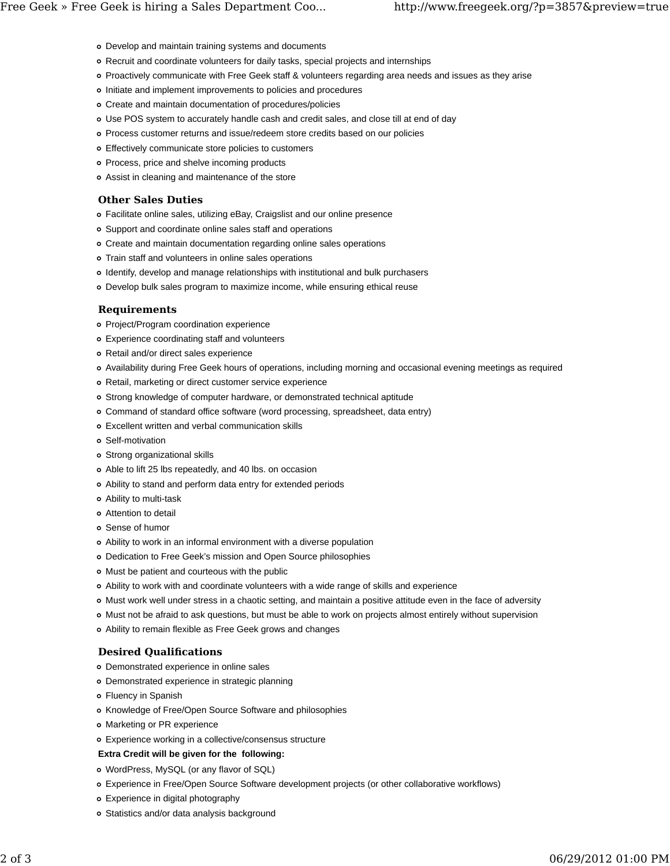- Develop and maintain training systems and documents
- Recruit and coordinate volunteers for daily tasks, special projects and internships
- Proactively communicate with Free Geek staff & volunteers regarding area needs and issues as they arise
- Initiate and implement improvements to policies and procedures
- Create and maintain documentation of procedures/policies
- Use POS system to accurately handle cash and credit sales, and close till at end of day
- Process customer returns and issue/redeem store credits based on our policies
- Effectively communicate store policies to customers
- Process, price and shelve incoming products
- Assist in cleaning and maintenance of the store

# **Other Sales Duties**

- Facilitate online sales, utilizing eBay, Craigslist and our online presence
- Support and coordinate online sales staff and operations
- Create and maintain documentation regarding online sales operations
- Train staff and volunteers in online sales operations
- Identify, develop and manage relationships with institutional and bulk purchasers
- Develop bulk sales program to maximize income, while ensuring ethical reuse

# **Requirements**

- Project/Program coordination experience
- Experience coordinating staff and volunteers
- Retail and/or direct sales experience
- Availability during Free Geek hours of operations, including morning and occasional evening meetings as required
- Retail, marketing or direct customer service experience
- Strong knowledge of computer hardware, or demonstrated technical aptitude
- Command of standard office software (word processing, spreadsheet, data entry)
- Excellent written and verbal communication skills
- Self-motivation
- Strong organizational skills
- Able to lift 25 lbs repeatedly, and 40 lbs. on occasion
- Ability to stand and perform data entry for extended periods
- Ability to multi-task
- Attention to detail
- Sense of humor
- Ability to work in an informal environment with a diverse population
- Dedication to Free Geek's mission and Open Source philosophies
- Must be patient and courteous with the public
- Ability to work with and coordinate volunteers with a wide range of skills and experience
- Must work well under stress in a chaotic setting, and maintain a positive attitude even in the face of adversity
- Must not be afraid to ask questions, but must be able to work on projects almost entirely without supervision
- Ability to remain flexible as Free Geek grows and changes

# **Desired Qualifications**

- Demonstrated experience in online sales
- Demonstrated experience in strategic planning
- Fluency in Spanish
- Knowledge of Free/Open Source Software and philosophies
- Marketing or PR experience
- Experience working in a collective/consensus structure
- **Extra Credit will be given for the following:**
- WordPress, MySQL (or any flavor of SQL)
- Experience in Free/Open Source Software development projects (or other collaborative workflows)
- Experience in digital photography
- Statistics and/or data analysis background